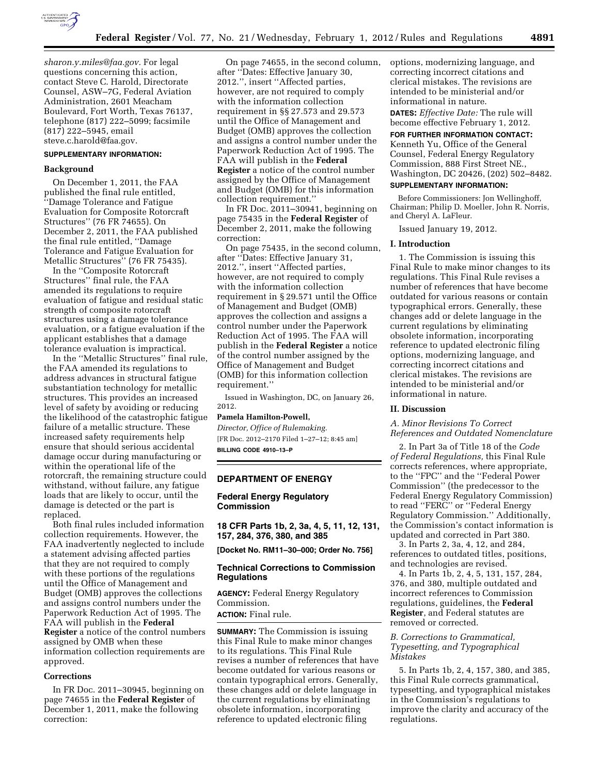

*[sharon.y.miles@faa.gov.](mailto:sharon.y.miles@faa.gov)* For legal questions concerning this action, contact Steve C. Harold, Directorate Counsel, ASW–7G, Federal Aviation Administration, 2601 Meacham Boulevard, Fort Worth, Texas 76137, telephone (817) 222–5099; facsimile (817) 222–5945, email [steve.c.harold@faa.gov.](mailto:steve.c.harold@faa.gov) 

# **SUPPLEMENTARY INFORMATION:**

#### **Background**

On December 1, 2011, the FAA published the final rule entitled, ''Damage Tolerance and Fatigue Evaluation for Composite Rotorcraft Structures'' (76 FR 74655). On December 2, 2011, the FAA published the final rule entitled, ''Damage Tolerance and Fatigue Evaluation for Metallic Structures'' (76 FR 75435).

In the ''Composite Rotorcraft Structures'' final rule, the FAA amended its regulations to require evaluation of fatigue and residual static strength of composite rotorcraft structures using a damage tolerance evaluation, or a fatigue evaluation if the applicant establishes that a damage tolerance evaluation is impractical.

In the ''Metallic Structures'' final rule, the FAA amended its regulations to address advances in structural fatigue substantiation technology for metallic structures. This provides an increased level of safety by avoiding or reducing the likelihood of the catastrophic fatigue failure of a metallic structure. These increased safety requirements help ensure that should serious accidental damage occur during manufacturing or within the operational life of the rotorcraft, the remaining structure could withstand, without failure, any fatigue loads that are likely to occur, until the damage is detected or the part is replaced.

Both final rules included information collection requirements. However, the FAA inadvertently neglected to include a statement advising affected parties that they are not required to comply with these portions of the regulations until the Office of Management and Budget (OMB) approves the collections and assigns control numbers under the Paperwork Reduction Act of 1995. The FAA will publish in the **Federal Register** a notice of the control numbers assigned by OMB when these information collection requirements are approved.

### **Corrections**

In FR Doc. 2011–30945, beginning on page 74655 in the **Federal Register** of December 1, 2011, make the following correction:

On page 74655, in the second column, after ''Dates: Effective January 30, 2012.'', insert ''Affected parties, however, are not required to comply with the information collection requirement in §§ 27.573 and 29.573 until the Office of Management and Budget (OMB) approves the collection and assigns a control number under the Paperwork Reduction Act of 1995. The FAA will publish in the **Federal Register** a notice of the control number assigned by the Office of Management and Budget (OMB) for this information collection requirement.''

In FR Doc. 2011–30941, beginning on page 75435 in the **Federal Register** of December 2, 2011, make the following correction:

On page 75435, in the second column, after ''Dates: Effective January 31, 2012.'', insert ''Affected parties, however, are not required to comply with the information collection requirement in § 29.571 until the Office of Management and Budget (OMB) approves the collection and assigns a control number under the Paperwork Reduction Act of 1995. The FAA will publish in the **Federal Register** a notice of the control number assigned by the Office of Management and Budget (OMB) for this information collection requirement.''

Issued in Washington, DC, on January 26, 2012.

## **Pamela Hamilton-Powell,**

*Director, Office of Rulemaking.*  [FR Doc. 2012–2170 Filed 1–27–12; 8:45 am] **BILLING CODE 4910–13–P** 

### **DEPARTMENT OF ENERGY**

### **Federal Energy Regulatory Commission**

**18 CFR Parts 1b, 2, 3a, 4, 5, 11, 12, 131, 157, 284, 376, 380, and 385** 

**[Docket No. RM11–30–000; Order No. 756]** 

## **Technical Corrections to Commission Regulations**

**AGENCY:** Federal Energy Regulatory Commission. **ACTION:** Final rule.

**SUMMARY:** The Commission is issuing this Final Rule to make minor changes to its regulations. This Final Rule revises a number of references that have become outdated for various reasons or contain typographical errors. Generally, these changes add or delete language in the current regulations by eliminating obsolete information, incorporating reference to updated electronic filing

options, modernizing language, and correcting incorrect citations and clerical mistakes. The revisions are intended to be ministerial and/or informational in nature.

**DATES:** *Effective Date:* The rule will become effective February 1, 2012.

**FOR FURTHER INFORMATION CONTACT:**  Kenneth Yu, Office of the General Counsel, Federal Energy Regulatory Commission, 888 First Street NE., Washington, DC 20426, (202) 502–8482.

## **SUPPLEMENTARY INFORMATION:**

Before Commissioners: Jon Wellinghoff, Chairman; Philip D. Moeller, John R. Norris, and Cheryl A. LaFleur.

Issued January 19, 2012.

#### **I. Introduction**

1. The Commission is issuing this Final Rule to make minor changes to its regulations. This Final Rule revises a number of references that have become outdated for various reasons or contain typographical errors. Generally, these changes add or delete language in the current regulations by eliminating obsolete information, incorporating reference to updated electronic filing options, modernizing language, and correcting incorrect citations and clerical mistakes. The revisions are intended to be ministerial and/or informational in nature.

### **II. Discussion**

*A. Minor Revisions To Correct References and Outdated Nomenclature* 

2. In Part 3a of Title 18 of the *Code of Federal Regulations,* this Final Rule corrects references, where appropriate, to the ''FPC'' and the ''Federal Power Commission'' (the predecessor to the Federal Energy Regulatory Commission) to read ''FERC'' or ''Federal Energy Regulatory Commission.'' Additionally, the Commission's contact information is updated and corrected in Part 380.

3. In Parts 2, 3a, 4, 12, and 284, references to outdated titles, positions, and technologies are revised.

4. In Parts 1b, 2, 4, 5, 131, 157, 284, 376, and 380, multiple outdated and incorrect references to Commission regulations, guidelines, the **Federal Register**, and Federal statutes are removed or corrected.

## *B. Corrections to Grammatical, Typesetting, and Typographical Mistakes*

5. In Parts 1b, 2, 4, 157, 380, and 385, this Final Rule corrects grammatical, typesetting, and typographical mistakes in the Commission's regulations to improve the clarity and accuracy of the regulations.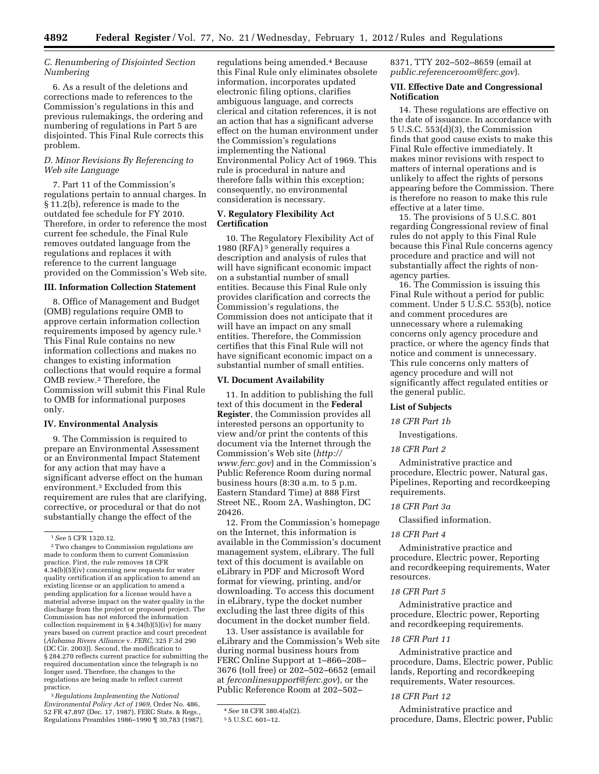# *C. Renumbering of Disjointed Section Numbering*

6. As a result of the deletions and corrections made to references to the Commission's regulations in this and previous rulemakings, the ordering and numbering of regulations in Part 5 are disjointed. This Final Rule corrects this problem.

## *D. Minor Revisions By Referencing to Web site Language*

7. Part 11 of the Commission's regulations pertain to annual charges. In § 11.2(b), reference is made to the outdated fee schedule for FY 2010. Therefore, in order to reference the most current fee schedule, the Final Rule removes outdated language from the regulations and replaces it with reference to the current language provided on the Commission's Web site.

### **III. Information Collection Statement**

8. Office of Management and Budget (OMB) regulations require OMB to approve certain information collection requirements imposed by agency rule.1 This Final Rule contains no new information collections and makes no changes to existing information collections that would require a formal OMB review.2 Therefore, the Commission will submit this Final Rule to OMB for informational purposes only.

## **IV. Environmental Analysis**

9. The Commission is required to prepare an Environmental Assessment or an Environmental Impact Statement for any action that may have a significant adverse effect on the human environment.3 Excluded from this requirement are rules that are clarifying, corrective, or procedural or that do not substantially change the effect of the

3*Regulations Implementing the National Environmental Policy Act of 1969,* Order No. 486, 52 FR 47,897 (Dec. 17, 1987), FERC Stats. & Regs., Regulations Preambles 1986–1990 ¶ 30,783 (1987). regulations being amended.4 Because this Final Rule only eliminates obsolete information, incorporates updated electronic filing options, clarifies ambiguous language, and corrects clerical and citation references, it is not an action that has a significant adverse effect on the human environment under the Commission's regulations implementing the National Environmental Policy Act of 1969. This rule is procedural in nature and therefore falls within this exception; consequently, no environmental consideration is necessary.

# **V. Regulatory Flexibility Act Certification**

10. The Regulatory Flexibility Act of 1980 (RFA) 5 generally requires a description and analysis of rules that will have significant economic impact on a substantial number of small entities. Because this Final Rule only provides clarification and corrects the Commission's regulations, the Commission does not anticipate that it will have an impact on any small entities. Therefore, the Commission certifies that this Final Rule will not have significant economic impact on a substantial number of small entities.

## **VI. Document Availability**

11. In addition to publishing the full text of this document in the **Federal Register**, the Commission provides all interested persons an opportunity to view and/or print the contents of this document via the Internet through the Commission's Web site (*[http://](http://www.ferc.gov)  [www.ferc.gov](http://www.ferc.gov)*) and in the Commission's Public Reference Room during normal business hours (8:30 a.m. to 5 p.m. Eastern Standard Time) at 888 First Street NE., Room 2A, Washington, DC 20426.

12. From the Commission's homepage on the Internet, this information is available in the Commission's document management system, eLibrary. The full text of this document is available on eLibrary in PDF and Microsoft Word format for viewing, printing, and/or downloading. To access this document in eLibrary, type the docket number excluding the last three digits of this document in the docket number field.

13. User assistance is available for eLibrary and the Commission's Web site during normal business hours from FERC Online Support at 1–866–208– 3676 (toll free) or 202–502–6652 (email at *[ferconlinesupport@ferc.gov](mailto:ferconlinesupport@ferc.gov)*), or the Public Reference Room at 202–502–

8371, TTY 202–502–8659 (email at *[public.referenceroom@ferc.gov](mailto:public.referenceroom@ferc.gov)*).

## **VII. Effective Date and Congressional Notification**

14. These regulations are effective on the date of issuance. In accordance with 5 U.S.C. 553(d)(3), the Commission finds that good cause exists to make this Final Rule effective immediately. It makes minor revisions with respect to matters of internal operations and is unlikely to affect the rights of persons appearing before the Commission. There is therefore no reason to make this rule effective at a later time.

15. The provisions of 5 U.S.C. 801 regarding Congressional review of final rules do not apply to this Final Rule because this Final Rule concerns agency procedure and practice and will not substantially affect the rights of nonagency parties.

16. The Commission is issuing this Final Rule without a period for public comment. Under 5 U.S.C. 553(b), notice and comment procedures are unnecessary where a rulemaking concerns only agency procedure and practice, or where the agency finds that notice and comment is unnecessary. This rule concerns only matters of agency procedure and will not significantly affect regulated entities or the general public.

### **List of Subjects**

# *18 CFR Part 1b*

Investigations.

## *18 CFR Part 2*

Administrative practice and procedure, Electric power, Natural gas, Pipelines, Reporting and recordkeeping requirements.

### *18 CFR Part 3a*

Classified information.

### *18 CFR Part 4*

Administrative practice and procedure, Electric power, Reporting and recordkeeping requirements, Water resources.

# *18 CFR Part 5*

Administrative practice and procedure, Electric power, Reporting and recordkeeping requirements.

### *18 CFR Part 11*

Administrative practice and procedure, Dams, Electric power, Public lands, Reporting and recordkeeping requirements, Water resources.

# *18 CFR Part 12*

Administrative practice and procedure, Dams, Electric power, Public

<sup>1</sup>*See* 5 CFR 1320.12.

<sup>2</sup>Two changes to Commission regulations are made to conform them to current Commission practice. First, the rule removes 18 CFR 4.34(b)(5)(iv) concerning new requests for water quality certification if an application to amend an existing license or an application to amend a pending application for a license would have a material adverse impact on the water quality in the discharge from the project or proposed project. The Commission has not enforced the information collection requirement in § 4.34(b)(5)(iv) for many years based on current practice and court precedent (*Alabama Rivers Alliance* v. *FERC,* 325 F.3d 290 (DC Cir. 2003)). Second, the modification to § 284.270 reflects current practice for submitting the required documentation since the telegraph is no longer used. Therefore, the changes to the regulations are being made to reflect current practice.

<sup>4</sup>*See* 18 CFR 380.4(a)(2).

<sup>5</sup> 5 U.S.C. 601–12.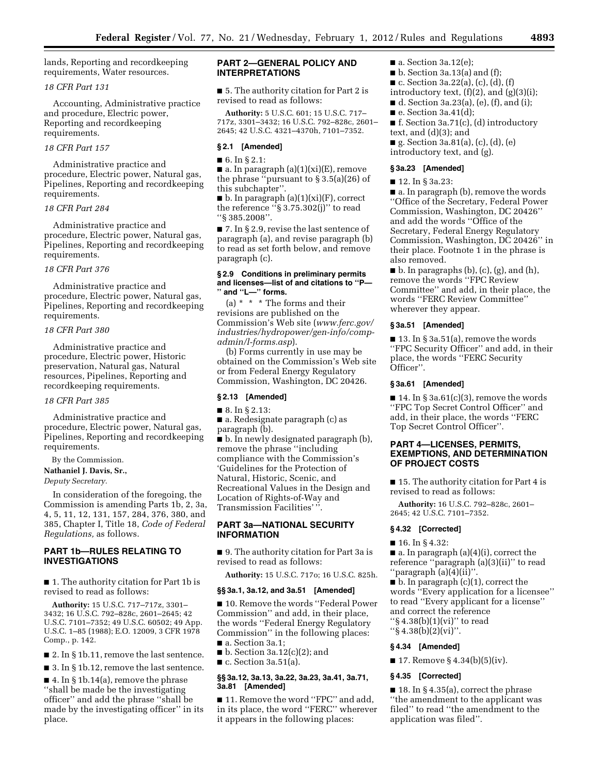lands, Reporting and recordkeeping requirements, Water resources.

# *18 CFR Part 131*

Accounting, Administrative practice and procedure, Electric power, Reporting and recordkeeping requirements.

### *18 CFR Part 157*

Administrative practice and procedure, Electric power, Natural gas, Pipelines, Reporting and recordkeeping requirements.

## *18 CFR Part 284*

Administrative practice and procedure, Electric power, Natural gas, Pipelines, Reporting and recordkeeping requirements.

# *18 CFR Part 376*

Administrative practice and procedure, Electric power, Natural gas, Pipelines, Reporting and recordkeeping requirements.

### *18 CFR Part 380*

Administrative practice and procedure, Electric power, Historic preservation, Natural gas, Natural resources, Pipelines, Reporting and recordkeeping requirements.

### *18 CFR Part 385*

Administrative practice and procedure, Electric power, Natural gas, Pipelines, Reporting and recordkeeping requirements.

By the Commission.

**Nathaniel J. Davis, Sr.,** 

*Deputy Secretary.* 

In consideration of the foregoing, the Commission is amending Parts 1b, 2, 3a, 4, 5, 11, 12, 131, 157, 284, 376, 380, and 385, Chapter I, Title 18, *Code of Federal Regulations,* as follows.

## **PART 1b—RULES RELATING TO INVESTIGATIONS**

■ 1. The authority citation for Part 1b is revised to read as follows:

**Authority:** 15 U.S.C. 717–717z, 3301– 3432; 16 U.S.C. 792–828c, 2601–2645; 42 U.S.C. 7101–7352; 49 U.S.C. 60502; 49 App. U.S.C. 1–85 (1988); E.O. 12009, 3 CFR 1978 Comp., p. 142.

■ 2. In § 1b.11, remove the last sentence.

■ 3. In § 1b.12, remove the last sentence.

■ 4. In § 1b.14(a), remove the phrase ''shall be made be the investigating officer'' and add the phrase ''shall be made by the investigating officer'' in its place.

# **PART 2—GENERAL POLICY AND INTERPRETATIONS**

■ 5. The authority citation for Part 2 is revised to read as follows:

**Authority:** 5 U.S.C. 601; 15 U.S.C. 717– 717z, 3301–3432; 16 U.S.C. 792–828c, 2601– 2645; 42 U.S.C. 4321–4370h, 7101–7352.

### **§ 2.1 [Amended]**

■ 6. In § 2.1:

 $\blacksquare$  a. In paragraph (a)(1)(xi)(E), remove the phrase "pursuant to  $\S 3.5(a)(26)$  of this subchapter''.

 $\blacksquare$  b. In paragraph  $(a)(1)(xi)(F)$ , correct the reference " $\S 3.75.302(j)$ " to read ''§ 385.2008''.

■ 7. In § 2.9, revise the last sentence of paragraph (a), and revise paragraph (b) to read as set forth below, and remove paragraph (c).

### **§ 2.9 Conditions in preliminary permits and licenses—list of and citations to ''P— '' and ''L—'' forms.**

(a)  $*$   $*$   $*$  The forms and their revisions are published on the Commission's Web site (*[www.ferc.gov/](http://www.ferc.gov/industries/hydropower/gen-info/comp-admin/l-forms.asp) [industries/hydropower/gen-info/comp](http://www.ferc.gov/industries/hydropower/gen-info/comp-admin/l-forms.asp)[admin/l-forms.asp](http://www.ferc.gov/industries/hydropower/gen-info/comp-admin/l-forms.asp)*).

(b) Forms currently in use may be obtained on the Commission's Web site or from Federal Energy Regulatory Commission, Washington, DC 20426.

### **§ 2.13 [Amended]**

■ 8. In § 2.13:

■ a. Redesignate paragraph (c) as paragraph (b).

■ b. In newly designated paragraph (b), remove the phrase ''including compliance with the Commission's 'Guidelines for the Protection of Natural, Historic, Scenic, and Recreational Values in the Design and Location of Rights-of-Way and Transmission Facilities' ''.

# **PART 3a—NATIONAL SECURITY INFORMATION**

■ 9. The authority citation for Part 3a is revised to read as follows:

**Authority:** 15 U.S.C. 717o; 16 U.S.C. 825h.

### **§§ 3a.1, 3a.12, and 3a.51 [Amended]**

■ 10. Remove the words "Federal Power Commission'' and add, in their place, the words ''Federal Energy Regulatory Commission'' in the following places: ■ a. Section 3a.1:

 $\blacksquare$  b. Section 3a.12(c)(2); and  $\blacksquare$  c. Section 3a.51(a).

### **§§ 3a.12, 3a.13, 3a.22, 3a.23, 3a.41, 3a.71, 3a.81 [Amended]**

■ 11. Remove the word "FPC" and add, in its place, the word ''FERC'' wherever it appears in the following places:

- $\blacksquare$  a. Section 3a.12(e);
- $\blacksquare$  b. Section 3a.13(a) and (f);
- c. Section 3a.22(a), (c), (d), (f)
- introductory text,  $(f)(2)$ , and  $(g)(3)(i)$ ;
- $\blacksquare$  d. Section 3a.23(a), (e), (f), and (i);
- $\blacksquare$  e. Section 3a.41(d);
- $\blacksquare$  f. Section 3a.71(c), (d) introductory text, and (d)(3); and
- $\blacksquare$  g. Section 3a.81(a), (c), (d), (e)
- introductory text, and (g).

# **§ 3a.23 [Amended]**

■ 12. In § 3a.23:

■ a. In paragraph (b), remove the words ''Office of the Secretary, Federal Power Commission, Washington, DC 20426'' and add the words ''Office of the Secretary, Federal Energy Regulatory Commission, Washington, DC 20426'' in their place. Footnote 1 in the phrase is also removed.

 $\blacksquare$  b. In paragraphs (b), (c), (g), and (h), remove the words ''FPC Review Committee'' and add, in their place, the words ''FERC Review Committee'' wherever they appear.

### **§ 3a.51 [Amended]**

■ 13. In § 3a.51(a), remove the words ''FPC Security Officer'' and add, in their place, the words ''FERC Security Officer''.

### **§ 3a.61 [Amended]**

 $\blacksquare$  14. In § 3a.61(c)(3), remove the words ''FPC Top Secret Control Officer'' and add, in their place, the words ''FERC Top Secret Control Officer''.

# **PART 4—LICENSES, PERMITS, EXEMPTIONS, AND DETERMINATION OF PROJECT COSTS**

■ 15. The authority citation for Part 4 is revised to read as follows:

**Authority:** 16 U.S.C. 792–828c, 2601– 2645; 42 U.S.C. 7101–7352.

## **§ 4.32 [Corrected]**

■ 16. In § 4.32:

■ a. In paragraph (a)(4)(i), correct the reference ''paragraph (a)(3)(ii)'' to read ''paragraph (a)(4)(ii)''.

■ b. In paragraph (c)(1), correct the words ''Every application for a licensee'' to read ''Every applicant for a license'' and correct the reference ''§ 4.38(b)(1)(vi)'' to read  $\frac{1}{5}$  4.38(b)(2)(vi)".

### **§ 4.34 [Amended]**

 $\blacksquare$  17. Remove § 4.34(b)(5)(iv).

# **§ 4.35 [Corrected]**

 $\blacksquare$  18. In § 4.35(a), correct the phrase ''the amendment to the applicant was filed'' to read ''the amendment to the application was filed''.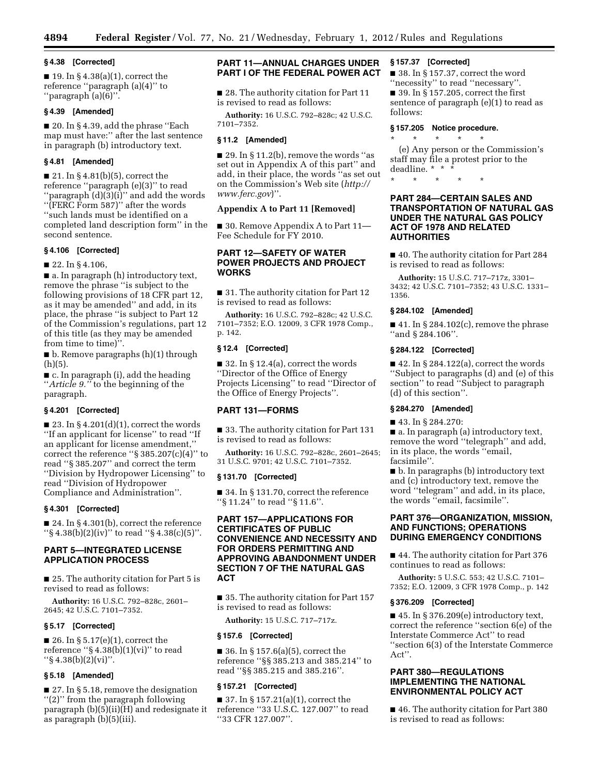### **§ 4.38 [Corrected]**

 $\blacksquare$  19. In § 4.38(a)(1), correct the reference ''paragraph (a)(4)'' to ''paragraph (a)(6)''.

# **§ 4.39 [Amended]**

 $\blacksquare$  20. In § 4.39, add the phrase "Each map must have:'' after the last sentence in paragraph (b) introductory text.

# **§ 4.81 [Amended]**

 $\blacksquare$  21. In § 4.81(b)(5), correct the reference ''paragraph (e)(3)'' to read ''paragraph (d)(3)(i)'' and add the words ''(FERC Form 587)'' after the words ''such lands must be identified on a completed land description form'' in the second sentence.

### **§ 4.106 [Corrected]**

■ 22. In § 4.106,

■ a. In paragraph (h) introductory text, remove the phrase ''is subject to the following provisions of 18 CFR part 12, as it may be amended'' and add, in its place, the phrase ''is subject to Part 12 of the Commission's regulations, part 12 of this title (as they may be amended from time to time)''.

■ b. Remove paragraphs (h)(1) through (h)(5).

■ c. In paragraph (i), add the heading ''*Article 9.''* to the beginning of the paragraph.

## **§ 4.201 [Corrected]**

 $\blacksquare$  23. In § 4.201(d)(1), correct the words ''If an applicant for license'' to read ''If an applicant for license amendment,'' correct the reference " $\S 385.207(c)(4)$ " to read ''§ 385.207'' and correct the term ''Division by Hydropower Licensing'' to read ''Division of Hydropower Compliance and Administration''.

## **§ 4.301 [Corrected]**

■ 24. In § 4.301(b), correct the reference "\\$ 4.38(b)(2)(iv)" to read "\\$ 4.38(c)(5)".

# **PART 5—INTEGRATED LICENSE APPLICATION PROCESS**

■ 25. The authority citation for Part 5 is revised to read as follows:

**Authority:** 16 U.S.C. 792–828c, 2601– 2645; 42 U.S.C. 7101–7352.

### **§ 5.17 [Corrected]**

 $\blacksquare$  26. In § 5.17(e)(1), correct the reference " $\S 4.38(b)(1)(vi)$ " to read  $``\S 4.38(b)(2)(vi)''$ .

# **§ 5.18 [Amended]**

■ 27. In § 5.18, remove the designation ''(2)'' from the paragraph following paragraph (b)(5)(ii)(H) and redesignate it as paragraph (b)(5)(iii).

# **PART 11—ANNUAL CHARGES UNDER PART I OF THE FEDERAL POWER ACT**

■ 28. The authority citation for Part 11 is revised to read as follows:

**Authority:** 16 U.S.C. 792–828c; 42 U.S.C. 7101–7352.

### **§ 11.2 [Amended]**

 $\blacksquare$  29. In § 11.2(b), remove the words "as set out in Appendix A of this part'' and add, in their place, the words ''as set out on the Commission's Web site (*[http://](http://www.ferc.gov) [www.ferc.gov](http://www.ferc.gov)*)''.

# **Appendix A to Part 11 [Removed]**

■ 30. Remove Appendix A to Part 11— Fee Schedule for FY 2010.

# **PART 12—SAFETY OF WATER POWER PROJECTS AND PROJECT WORKS**

■ 31. The authority citation for Part 12 is revised to read as follows:

**Authority:** 16 U.S.C. 792–828c; 42 U.S.C. 7101–7352; E.O. 12009, 3 CFR 1978 Comp., p. 142.

# **§ 12.4 [Corrected]**

 $\blacksquare$  32. In § 12.4(a), correct the words ''Director of the Office of Energy Projects Licensing'' to read ''Director of the Office of Energy Projects''.

# **PART 131—FORMS**

■ 33. The authority citation for Part 131 is revised to read as follows:

**Authority:** 16 U.S.C. 792–828c, 2601–2645; 31 U.S.C. 9701; 42 U.S.C. 7101–7352.

### **§ 131.70 [Corrected]**

■ 34. In § 131.70, correct the reference ''§ 11.24'' to read ''§ 11.6''.

# **PART 157—APPLICATIONS FOR CERTIFICATES OF PUBLIC CONVENIENCE AND NECESSITY AND FOR ORDERS PERMITTING AND APPROVING ABANDONMENT UNDER SECTION 7 OF THE NATURAL GAS ACT**

■ 35. The authority citation for Part 157 is revised to read as follows:

**Authority:** 15 U.S.C. 717–717z.

### **§ 157.6 [Corrected]**

■ 36. In § 157.6(a)(5), correct the reference ''§§ 385.213 and 385.214'' to read ''§§ 385.215 and 385.216''.

## **§ 157.21 [Corrected]**

■ 37. In § 157.21(a)(1), correct the reference ''33 U.S.C. 127.007'' to read ''33 CFR 127.007''.

# **§ 157.37 [Corrected]**

■ 38. In § 157.37, correct the word ''necessity'' to read ''necessary''.  $\blacksquare$  39. In § 157.205, correct the first sentence of paragraph (e)(1) to read as follows:

### **§ 157.205 Notice procedure.**

\* \* \* \* \* (e) Any person or the Commission's staff may file a protest prior to the deadline. \* \* \*

\* \* \* \* \* **PART 284—CERTAIN SALES AND** 

# **TRANSPORTATION OF NATURAL GAS UNDER THE NATURAL GAS POLICY ACT OF 1978 AND RELATED AUTHORITIES**

■ 40. The authority citation for Part 284 is revised to read as follows:

**Authority:** 15 U.S.C. 717–717z, 3301– 3432; 42 U.S.C. 7101–7352; 43 U.S.C. 1331– 1356.

### **§ 284.102 [Amended]**

 $\blacksquare$  41. In § 284.102(c), remove the phrase ''and § 284.106''.

### **§ 284.122 [Corrected]**

 $\blacksquare$  42. In § 284.122(a), correct the words ''Subject to paragraphs (d) and (e) of this section'' to read ''Subject to paragraph (d) of this section''.

### **§ 284.270 [Amended]**

■ 43. In § 284.270:

■ a. In paragraph (a) introductory text, remove the word ''telegraph'' and add, in its place, the words ''email, facsimile''.

■ b. In paragraphs (b) introductory text and (c) introductory text, remove the word ''telegram'' and add, in its place, the words ''email, facsimile''.

## **PART 376—ORGANIZATION, MISSION, AND FUNCTIONS; OPERATIONS DURING EMERGENCY CONDITIONS**

■ 44. The authority citation for Part 376 continues to read as follows:

**Authority:** 5 U.S.C. 553; 42 U.S.C. 7101– 7352; E.O. 12009, 3 CFR 1978 Comp., p. 142

### **§ 376.209 [Corrected]**

 $\blacksquare$  45. In § 376.209(e) introductory text, correct the reference ''section 6(e) of the Interstate Commerce Act'' to read ''section 6(3) of the Interstate Commerce Act''.

# **PART 380—REGULATIONS IMPLEMENTING THE NATIONAL ENVIRONMENTAL POLICY ACT**

■ 46. The authority citation for Part 380 is revised to read as follows: